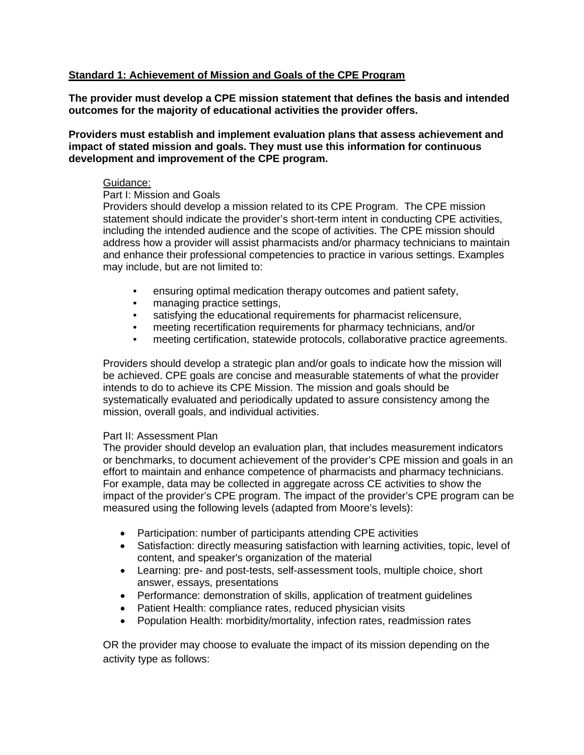# **Standard 1: Achievement of Mission and Goals of the CPE Program**

**The provider must develop a CPE mission statement that defines the basis and intended outcomes for the majority of educational activities the provider offers.** 

**Providers must establish and implement evaluation plans that assess achievement and impact of stated mission and goals. They must use this information for continuous development and improvement of the CPE program.**

#### Guidance:

## Part I: Mission and Goals

Providers should develop a mission related to its CPE Program. The CPE mission statement should indicate the provider's short-term intent in conducting CPE activities, including the intended audience and the scope of activities. The CPE mission should address how a provider will assist pharmacists and/or pharmacy technicians to maintain and enhance their professional competencies to practice in various settings. Examples may include, but are not limited to:

- ensuring optimal medication therapy outcomes and patient safety,
- managing practice settings,
- satisfying the educational requirements for pharmacist relicensure,
- meeting recertification requirements for pharmacy technicians, and/or
- meeting certification, statewide protocols, collaborative practice agreements.

Providers should develop a strategic plan and/or goals to indicate how the mission will be achieved. CPE goals are concise and measurable statements of what the provider intends to do to achieve its CPE Mission. The mission and goals should be systematically evaluated and periodically updated to assure consistency among the mission, overall goals, and individual activities.

#### Part II: Assessment Plan

The provider should develop an evaluation plan, that includes measurement indicators or benchmarks, to document achievement of the provider's CPE mission and goals in an effort to maintain and enhance competence of pharmacists and pharmacy technicians. For example, data may be collected in aggregate across CE activities to show the impact of the provider's CPE program. The impact of the provider's CPE program can be measured using the following levels (adapted from Moore's levels):

- Participation: number of participants attending CPE activities
- Satisfaction: directly measuring satisfaction with learning activities, topic, level of content, and speaker's organization of the material
- Learning: pre- and post-tests, self-assessment tools, multiple choice, short answer, essays, presentations
- Performance: demonstration of skills, application of treatment guidelines
- Patient Health: compliance rates, reduced physician visits
- Population Health: morbidity/mortality, infection rates, readmission rates

OR the provider may choose to evaluate the impact of its mission depending on the activity type as follows: